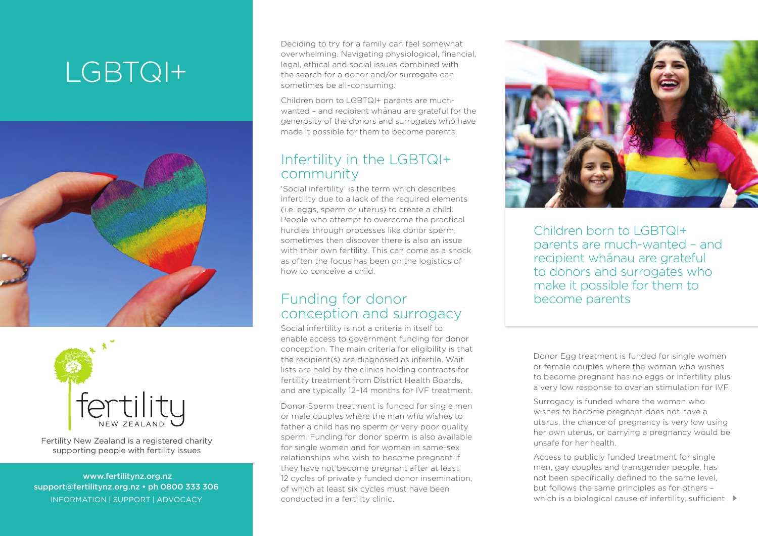## LGBTQI+





Fertility New Zealand is a registered charity supporting people with fertility issues

 www.fertilitynz.org.nz support@fertilitynz.org.nz • ph 0800 333 306 inf ormation | support | advocacy

Deciding to try for a family can feel somewhat overwhelming. Navigating physiological, financial, legal, ethical and social issues combined with the search for a donor and/or surrogate can sometimes be all-consuming.

Children born to LGBTQI+ parents are muchwanted - and recipient whanau are grateful for the generosity of the donors and surrogates who have made it possible for them to become parents.

## Infertility in the LGBTQI+ community

'Social infertility' is the term which describes infertility due to a lack of the required elements (i.e. eggs, sperm or uterus) to create a child. People who attempt to overcome the practical hurdles through processes like donor sperm, sometimes then discover there is also an issue with their own fertility. This can come as a shock as often the focus has been on the logistics of how to conceive a child.

## Funding for donor conception and surrogacy

Social infertility is not a criteria in itself to enable access to government funding for donor conception. The main criteria for eligibility is that the recipient(s) are diagnosed as infertile. Wait lists are held by the clinics holding contracts for fertility treatment from District Health Boards, and are typically 12–14 months for IVF treatment.

Donor Sperm treatment is funded for single men or male couples where the man who wishes to father a child has no sperm or very poor quality sperm. Funding for donor sperm is also available for single women and for women in same-sex relationships who wish to become pregnant if they have not become pregnant after at least 12 cycles of privately funded donor insemination, of which at least six cycles must have been conducted in a fertility clinic.



Children born to LGBTQI+ parents are much-wanted – and recipient whānau are grateful to donors and surrogates who make it possible for them to become parents

Donor Egg treatment is funded for single women or female couples where the woman who wishes to become pregnant has no eggs or infertility plus a very low response to ovarian stimulation for IVF.

Surrogacy is funded where the woman who wishes to become pregnant does not have a uterus, the chance of pregnancy is very low using her own uterus, or carrying a pregnancy would be unsafe for her health.

Access to publicly funded treatment for single men, gay couples and transgender people, has not been specifically defined to the same level, but follows the same principles as for others – which is a biological cause of infertility, sufficient  $\blacktriangleright$